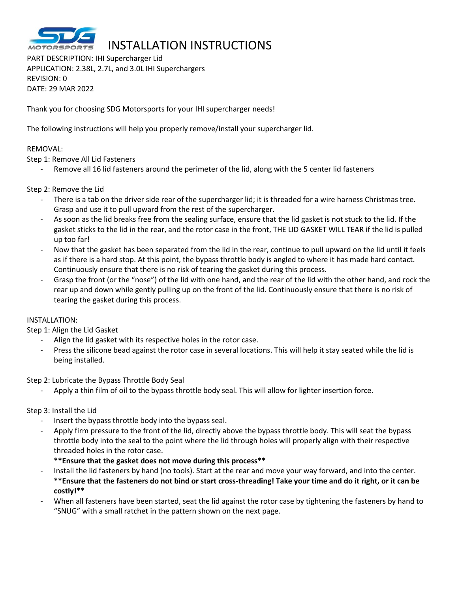

# INSTALLATION INSTRUCTIONS

PART DESCRIPTION: IHI Supercharger Lid APPLICATION: 2.38L, 2.7L, and 3.0L IHI Superchargers REVISION: 0 DATE: 29 MAR 2022

Thank you for choosing SDG Motorsports for your IHI supercharger needs!

The following instructions will help you properly remove/install your supercharger lid.

### REMOVAL:

Step 1: Remove All Lid Fasteners

Remove all 16 lid fasteners around the perimeter of the lid, along with the 5 center lid fasteners

### Step 2: Remove the Lid

- There is a tab on the driver side rear of the supercharger lid; it is threaded for a wire harness Christmas tree. Grasp and use it to pull upward from the rest of the supercharger.
- As soon as the lid breaks free from the sealing surface, ensure that the lid gasket is not stuck to the lid. If the gasket sticks to the lid in the rear, and the rotor case in the front, THE LID GASKET WILL TEAR if the lid is pulled up too far!
- Now that the gasket has been separated from the lid in the rear, continue to pull upward on the lid until it feels as if there is a hard stop. At this point, the bypass throttle body is angled to where it has made hard contact. Continuously ensure that there is no risk of tearing the gasket during this process.
- Grasp the front (or the "nose") of the lid with one hand, and the rear of the lid with the other hand, and rock the rear up and down while gently pulling up on the front of the lid. Continuously ensure that there is no risk of tearing the gasket during this process.

### INSTALLATION:

Step 1: Align the Lid Gasket

- Align the lid gasket with its respective holes in the rotor case.
- Press the silicone bead against the rotor case in several locations. This will help it stay seated while the lid is being installed.

Step 2: Lubricate the Bypass Throttle Body Seal

Apply a thin film of oil to the bypass throttle body seal. This will allow for lighter insertion force.

#### Step 3: Install the Lid

- Insert the bypass throttle body into the bypass seal.
- Apply firm pressure to the front of the lid, directly above the bypass throttle body. This will seat the bypass throttle body into the seal to the point where the lid through holes will properly align with their respective threaded holes in the rotor case.

### **\*\*Ensure that the gasket does not move during this process\*\***

- Install the lid fasteners by hand (no tools). Start at the rear and move your way forward, and into the center. **\*\*Ensure that the fasteners do not bind or start cross-threading! Take your time and do it right, or it can be costly!\*\***
- When all fasteners have been started, seat the lid against the rotor case by tightening the fasteners by hand to "SNUG" with a small ratchet in the pattern shown on the next page.